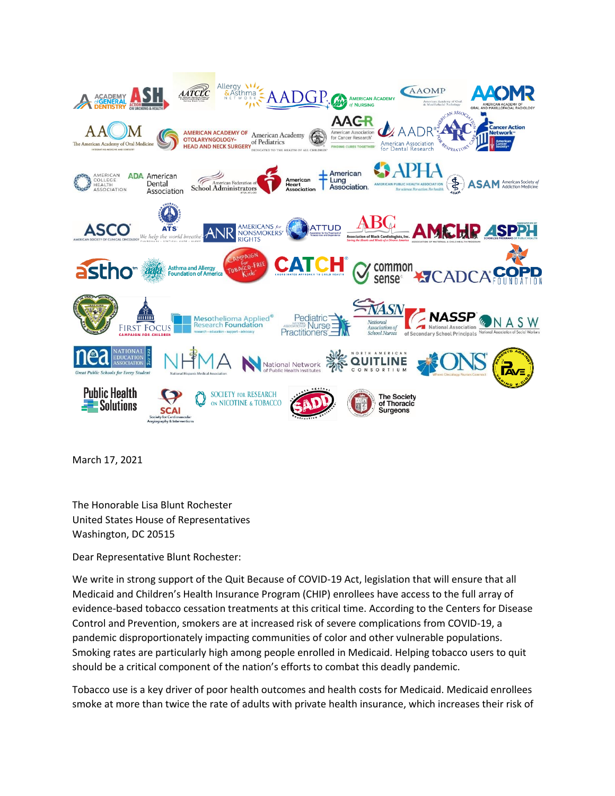

March 17, 2021

The Honorable Lisa Blunt Rochester United States House of Representatives Washington, DC 20515

Dear Representative Blunt Rochester:

We write in strong support of the Quit Because of COVID-19 Act, legislation that will ensure that all Medicaid and Children's Health Insurance Program (CHIP) enrollees have access to the full array of evidence-based tobacco cessation treatments at this critical time. According to the Centers for Disease Control and Prevention, smokers are at increased risk of severe complications from COVID-19, a pandemic disproportionately impacting communities of color and other vulnerable populations. Smoking rates are particularly high among people enrolled in Medicaid. Helping tobacco users to quit should be a critical component of the nation's efforts to combat this deadly pandemic.

Tobacco use is a key driver of poor health outcomes and health costs for Medicaid. Medicaid enrollees smoke at more than twice the rate of adults with private health insurance, which increases their risk of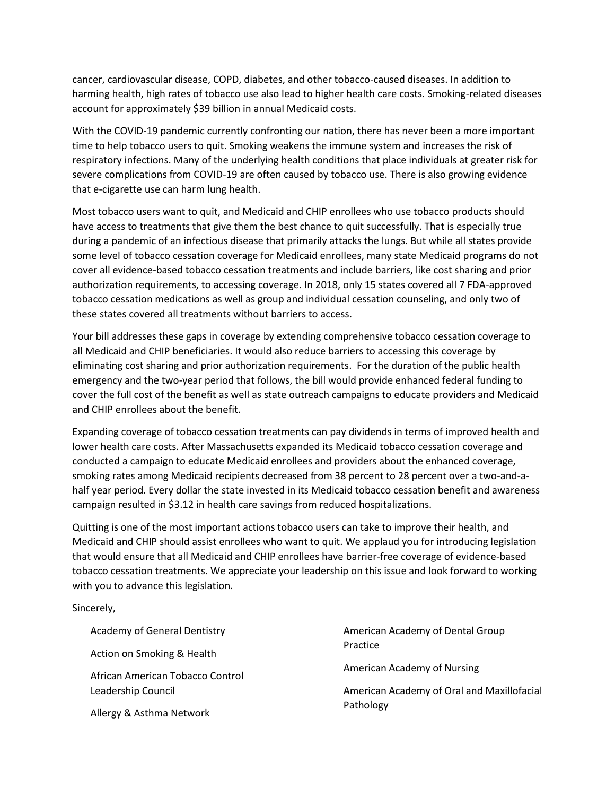cancer, cardiovascular disease, COPD, diabetes, and other tobacco-caused diseases. In addition to harming health, high rates of tobacco use also lead to higher health care costs. Smoking-related diseases account for approximately \$39 billion in annual Medicaid costs.

With the COVID-19 pandemic currently confronting our nation, there has never been a more important time to help tobacco users to quit. Smoking weakens the immune system and increases the risk of respiratory infections. Many of the underlying health conditions that place individuals at greater risk for severe complications from COVID-19 are often caused by tobacco use. There is also growing evidence that e-cigarette use can harm lung health.

Most tobacco users want to quit, and Medicaid and CHIP enrollees who use tobacco products should have access to treatments that give them the best chance to quit successfully. That is especially true during a pandemic of an infectious disease that primarily attacks the lungs. But while all states provide some level of tobacco cessation coverage for Medicaid enrollees, many state Medicaid programs do not cover all evidence-based tobacco cessation treatments and include barriers, like cost sharing and prior authorization requirements, to accessing coverage. In 2018, only 15 states covered all 7 FDA-approved tobacco cessation medications as well as group and individual cessation counseling, and only two of these states covered all treatments without barriers to access.

Your bill addresses these gaps in coverage by extending comprehensive tobacco cessation coverage to all Medicaid and CHIP beneficiaries. It would also reduce barriers to accessing this coverage by eliminating cost sharing and prior authorization requirements. For the duration of the public health emergency and the two-year period that follows, the bill would provide enhanced federal funding to cover the full cost of the benefit as well as state outreach campaigns to educate providers and Medicaid and CHIP enrollees about the benefit.

Expanding coverage of tobacco cessation treatments can pay dividends in terms of improved health and lower health care costs. After Massachusetts expanded its Medicaid tobacco cessation coverage and conducted a campaign to educate Medicaid enrollees and providers about the enhanced coverage, smoking rates among Medicaid recipients decreased from 38 percent to 28 percent over a two-and-ahalf year period. Every dollar the state invested in its Medicaid tobacco cessation benefit and awareness campaign resulted in \$3.12 in health care savings from reduced hospitalizations.

Quitting is one of the most important actions tobacco users can take to improve their health, and Medicaid and CHIP should assist enrollees who want to quit. We applaud you for introducing legislation that would ensure that all Medicaid and CHIP enrollees have barrier-free coverage of evidence-based tobacco cessation treatments. We appreciate your leadership on this issue and look forward to working with you to advance this legislation.

Sincerely,

Academy of General Dentistry

Action on Smoking & Health

African American Tobacco Control Leadership Council

Allergy & Asthma Network

American Academy of Dental Group Practice

American Academy of Nursing

American Academy of Oral and Maxillofacial Pathology